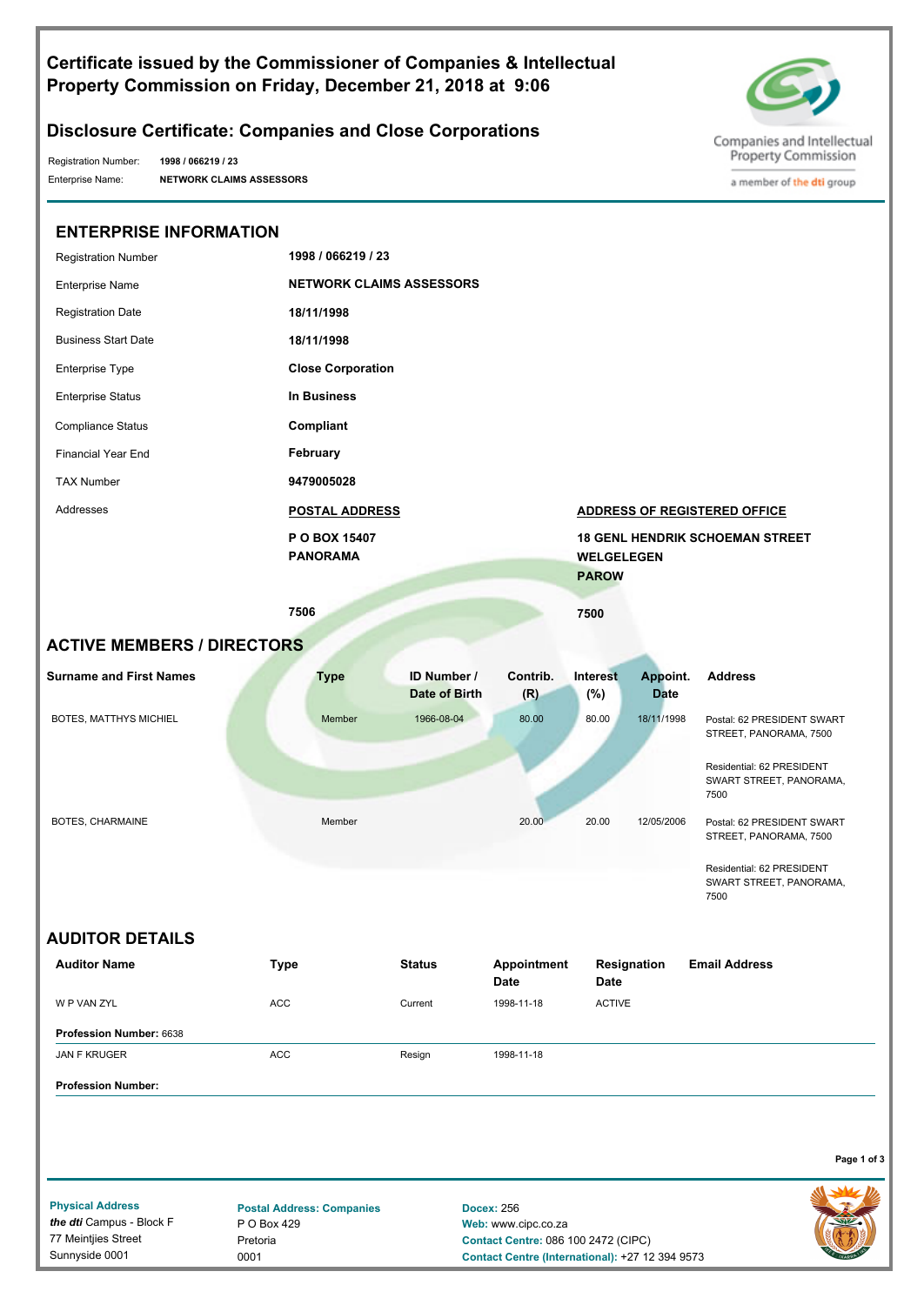### **Certificate issued by the Commissioner of Companies & Intellectual Property Commission on Friday, December 21, 2018 at 9:06**



a member of the dti group

# **Disclosure Certificate: Companies and Close Corporations**

Registration Number:

Enterprise Name: **NETWORK CLAIMS ASSESSORS 1998 / 066219 / 23**

> Pretoria 0001

77 Meintjies Street Sunnyside 0001

| <b>ENTERPRISE INFORMATION</b>                       |                                                 |                       |                                          |                                   |             |                                                              |
|-----------------------------------------------------|-------------------------------------------------|-----------------------|------------------------------------------|-----------------------------------|-------------|--------------------------------------------------------------|
| <b>Registration Number</b>                          | 1998 / 066219 / 23                              |                       |                                          |                                   |             |                                                              |
| <b>Enterprise Name</b>                              | <b>NETWORK CLAIMS ASSESSORS</b>                 |                       |                                          |                                   |             |                                                              |
| <b>Registration Date</b>                            | 18/11/1998                                      |                       |                                          |                                   |             |                                                              |
| <b>Business Start Date</b>                          | 18/11/1998                                      |                       |                                          |                                   |             |                                                              |
| Enterprise Type                                     | <b>Close Corporation</b>                        |                       |                                          |                                   |             |                                                              |
| <b>Enterprise Status</b>                            | In Business                                     |                       |                                          |                                   |             |                                                              |
| <b>Compliance Status</b>                            | Compliant                                       |                       |                                          |                                   |             |                                                              |
| <b>Financial Year End</b>                           | February                                        |                       |                                          |                                   |             |                                                              |
| <b>TAX Number</b>                                   | 9479005028                                      |                       |                                          |                                   |             |                                                              |
| Addresses                                           |                                                 | <b>POSTAL ADDRESS</b> |                                          |                                   |             | <b>ADDRESS OF REGISTERED OFFICE</b>                          |
|                                                     | P O BOX 15407<br><b>PANORAMA</b>                |                       |                                          | <b>WELGELEGEN</b><br><b>PAROW</b> |             | <b>18 GENL HENDRIK SCHOEMAN STREET</b>                       |
|                                                     | 7506                                            |                       |                                          | 7500                              |             |                                                              |
| <b>ACTIVE MEMBERS / DIRECTORS</b>                   |                                                 |                       |                                          |                                   |             |                                                              |
| <b>Surname and First Names</b>                      | <b>Type</b>                                     | ID Number /           | Contrib.                                 | Interest                          | Appoint.    | <b>Address</b>                                               |
|                                                     |                                                 | Date of Birth         | (R)                                      | (%)                               | <b>Date</b> |                                                              |
| BOTES, MATTHYS MICHIEL                              | Member                                          | 1966-08-04            | 80.00                                    | 80.00                             | 18/11/1998  | Postal: 62 PRESIDENT SWART<br>STREET, PANORAMA, 7500         |
|                                                     |                                                 |                       |                                          |                                   |             | Residential: 62 PRESIDENT<br>SWART STREET, PANORAMA,<br>7500 |
| BOTES, CHARMAINE                                    | Member                                          |                       | 20.00                                    | 20.00                             | 12/05/2006  | Postal: 62 PRESIDENT SWART<br>STREET, PANORAMA, 7500         |
|                                                     |                                                 |                       |                                          |                                   |             | Residential: 62 PRESIDENT<br>SWART STREET, PANORAMA,<br>7500 |
| <b>AUDITOR DETAILS</b>                              |                                                 |                       |                                          |                                   |             |                                                              |
| <b>Auditor Name</b>                                 | Type                                            | <b>Status</b>         | Appointment<br><b>Date</b>               | Date                              | Resignation | <b>Email Address</b>                                         |
| W P VAN ZYL                                         | ACC                                             | Current               | 1998-11-18                               | <b>ACTIVE</b>                     |             |                                                              |
| Profession Number: 6638                             |                                                 |                       |                                          |                                   |             |                                                              |
| JAN F KRUGER                                        | ACC                                             | Resign                | 1998-11-18                               |                                   |             |                                                              |
| <b>Profession Number:</b>                           |                                                 |                       |                                          |                                   |             |                                                              |
|                                                     |                                                 |                       |                                          |                                   |             | Page 1 of 3                                                  |
|                                                     |                                                 |                       |                                          |                                   |             |                                                              |
| <b>Physical Address</b><br>the dti Campus - Block F | <b>Postal Address: Companies</b><br>P O Box 429 |                       | <b>Docex: 256</b><br>Web: www.cipc.co.za |                                   |             |                                                              |

**Contact Centre:** 086 100 2472 (CIPC)

**Contact Centre (International):** +27 12 394 9573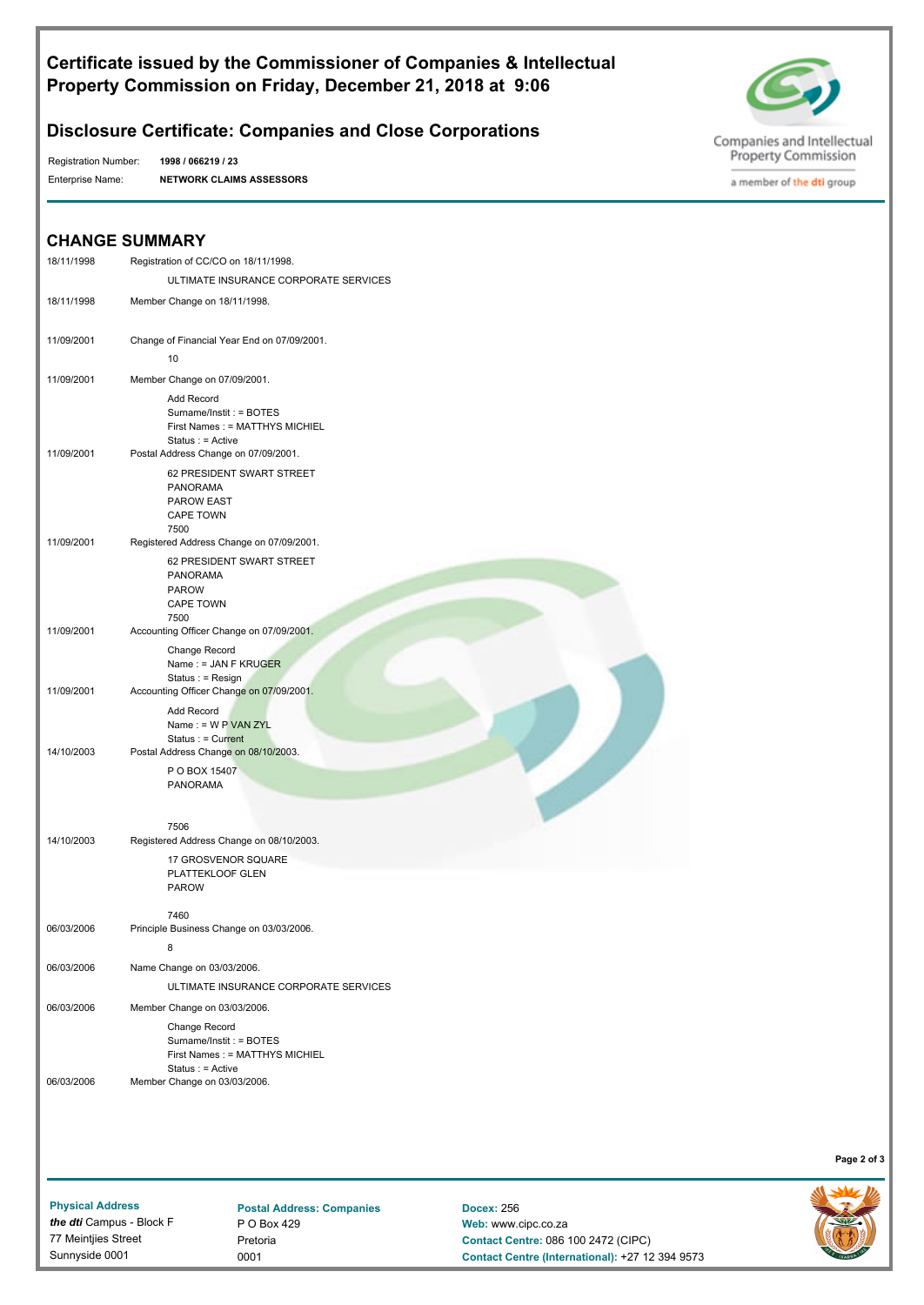### **Certificate issued by the Commissioner of Companies & Intellectual Property Commission on Friday, December 21, 2018 at 9:06**



### **Disclosure Certificate: Companies and Close Corporations**

Registration Number:

Enterprise Name: **NETWORK CLAIMS ASSESSORS 1998 / 066219 / 23**



a member of the dti group

# **CHANGE SUMMARY**

|            | CHANGE SUMMARY                                                                                        |
|------------|-------------------------------------------------------------------------------------------------------|
| 18/11/1998 | Registration of CC/CO on 18/11/1998.                                                                  |
|            | ULTIMATE INSURANCE CORPORATE SERVICES                                                                 |
| 18/11/1998 | Member Change on 18/11/1998.                                                                          |
| 11/09/2001 | Change of Financial Year End on 07/09/2001.                                                           |
|            | 10                                                                                                    |
| 11/09/2001 | Member Change on 07/09/2001.                                                                          |
|            | <b>Add Record</b><br>Surname/Instit: = BOTES<br>First Names: = MATTHYS MICHIEL<br>Status : $=$ Active |
| 11/09/2001 | Postal Address Change on 07/09/2001.                                                                  |
|            | 62 PRESIDENT SWART STREET<br><b>PANORAMA</b><br>PAROW EAST<br><b>CAPE TOWN</b><br>7500                |
| 11/09/2001 | Registered Address Change on 07/09/2001.                                                              |
|            | 62 PRESIDENT SWART STREET<br><b>PANORAMA</b><br><b>PAROW</b><br><b>CAPE TOWN</b><br>7500              |
| 11/09/2001 | Accounting Officer Change on 07/09/2001.                                                              |
|            | Change Record<br>Name: $=$ JAN F KRUGER<br>Status : $=$ Resign                                        |
| 11/09/2001 | Accounting Officer Change on 07/09/2001.<br>Add Record<br>Name: = $W P VAN ZYL$<br>Status : < Current |
| 14/10/2003 | Postal Address Change on 08/10/2003.                                                                  |
|            | P O BOX 15407<br><b>PANORAMA</b>                                                                      |
|            | 7506                                                                                                  |
| 14/10/2003 | Registered Address Change on 08/10/2003.                                                              |
|            | 17 GROSVENOR SQUARE<br>PLATTEKLOOF GLEN<br><b>PAROW</b>                                               |
|            | 7460                                                                                                  |
| 06/03/2006 | Principle Business Change on 03/03/2006.                                                              |
|            | 8                                                                                                     |
| 06/03/2006 | Name Change on 03/03/2006.                                                                            |
|            | ULTIMATE INSURANCE CORPORATE SERVICES                                                                 |
| 06/03/2006 | Member Change on 03/03/2006.                                                                          |
|            | Change Record<br>Surname/Instit: = BOTES<br>First Names : = MATTHYS MICHIEL<br>$Status : = Active$    |
| 06/03/2006 | Member Change on 03/03/2006.                                                                          |
|            |                                                                                                       |
|            |                                                                                                       |

**Page 2 of 3**

**Physical Address** *the dti* Campus - Block F 77 Meintjies Street Sunnyside 0001

**Postal Address: Companies** P O Box 429 Pretoria 0001

**Docex:** 256 **Web:** www.cipc.co.za **Contact Centre:** 086 100 2472 (CIPC) **Contact Centre (International):** +27 12 394 9573